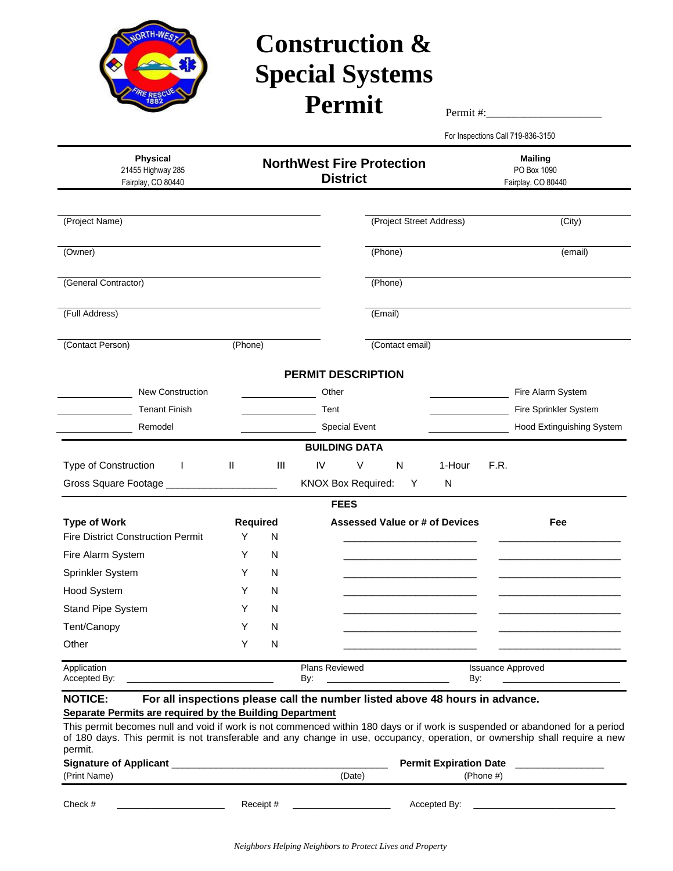

## **Construction & Special Systems**   $\textbf{Permit}$

For Inspections Call 719-836-3150

| <b>Physical</b><br>21455 Highway 285<br>Fairplay, CO 80440                                                                                                                                                                                                            | <b>NorthWest Fire Protection</b><br><b>District</b> |                               |                           |                          |                                       | <b>Mailing</b><br>PO Box 1090<br>Fairplay, CO 80440 |
|-----------------------------------------------------------------------------------------------------------------------------------------------------------------------------------------------------------------------------------------------------------------------|-----------------------------------------------------|-------------------------------|---------------------------|--------------------------|---------------------------------------|-----------------------------------------------------|
|                                                                                                                                                                                                                                                                       |                                                     |                               |                           |                          |                                       |                                                     |
| (Project Name)                                                                                                                                                                                                                                                        |                                                     |                               |                           | (Project Street Address) |                                       | (City)                                              |
| (Owner)                                                                                                                                                                                                                                                               |                                                     |                               |                           | (Phone)                  |                                       | (email)                                             |
| (General Contractor)                                                                                                                                                                                                                                                  |                                                     |                               |                           | (Phone)                  |                                       |                                                     |
| (Full Address)                                                                                                                                                                                                                                                        |                                                     |                               |                           | (Email)                  |                                       |                                                     |
| (Contact Person)                                                                                                                                                                                                                                                      | (Phone)                                             |                               |                           | (Contact email)          |                                       |                                                     |
|                                                                                                                                                                                                                                                                       |                                                     |                               | <b>PERMIT DESCRIPTION</b> |                          |                                       |                                                     |
| <b>New Construction</b>                                                                                                                                                                                                                                               |                                                     |                               | Other                     |                          |                                       | Fire Alarm System                                   |
| <b>Tenant Finish</b>                                                                                                                                                                                                                                                  |                                                     |                               | Tent                      |                          |                                       | Fire Sprinkler System                               |
| Remodel                                                                                                                                                                                                                                                               |                                                     |                               | <b>Special Event</b>      |                          |                                       | Hood Extinguishing System                           |
|                                                                                                                                                                                                                                                                       |                                                     |                               | <b>BUILDING DATA</b>      |                          |                                       |                                                     |
| Type of Construction<br>J.                                                                                                                                                                                                                                            | Ш                                                   | Ш                             | IV<br>V                   | N                        | 1-Hour                                | F.R.                                                |
|                                                                                                                                                                                                                                                                       |                                                     |                               | KNOX Box Required:        | Y                        | N                                     |                                                     |
|                                                                                                                                                                                                                                                                       |                                                     |                               | <b>FEES</b>               |                          |                                       |                                                     |
| <b>Type of Work</b>                                                                                                                                                                                                                                                   | Required                                            |                               |                           |                          | <b>Assessed Value or # of Devices</b> | Fee                                                 |
| <b>Fire District Construction Permit</b>                                                                                                                                                                                                                              | Y                                                   | N                             |                           |                          |                                       |                                                     |
| Fire Alarm System                                                                                                                                                                                                                                                     | Y                                                   | N                             |                           |                          |                                       |                                                     |
| Sprinkler System                                                                                                                                                                                                                                                      | Y                                                   | N                             |                           |                          |                                       |                                                     |
| Hood System                                                                                                                                                                                                                                                           | Y                                                   | N                             |                           |                          |                                       |                                                     |
| Stand Pipe System                                                                                                                                                                                                                                                     | Y                                                   | N                             |                           |                          |                                       |                                                     |
| Tent/Canopy                                                                                                                                                                                                                                                           | Y                                                   | N                             |                           |                          |                                       |                                                     |
| Other                                                                                                                                                                                                                                                                 | Y                                                   | ${\sf N}$                     |                           |                          |                                       |                                                     |
| Application<br>Accepted By:                                                                                                                                                                                                                                           |                                                     |                               | Plans Reviewed<br>By:     |                          | By:                                   | <b>Issuance Approved</b>                            |
| For all inspections please call the number listed above 48 hours in advance.<br><b>NOTICE:</b><br>Separate Permits are required by the Building Department                                                                                                            |                                                     |                               |                           |                          |                                       |                                                     |
| This permit becomes null and void if work is not commenced within 180 days or if work is suspended or abandoned for a period<br>of 180 days. This permit is not transferable and any change in use, occupancy, operation, or ownership shall require a new<br>permit. |                                                     |                               |                           |                          |                                       |                                                     |
| Signature of Applicant                                                                                                                                                                                                                                                |                                                     | <b>Permit Expiration Date</b> |                           |                          |                                       |                                                     |
| (Print Name)                                                                                                                                                                                                                                                          |                                                     |                               | (Date)                    |                          | (Phone #)                             |                                                     |

Check # \_\_\_\_\_\_\_\_\_\_\_\_\_\_\_\_\_\_\_\_\_\_ Receipt # \_\_\_\_\_\_\_\_\_\_\_\_\_\_\_\_\_\_\_\_ Accepted By: \_\_\_\_\_\_\_\_\_\_\_\_\_\_\_\_\_\_\_\_\_\_\_\_\_\_\_\_\_